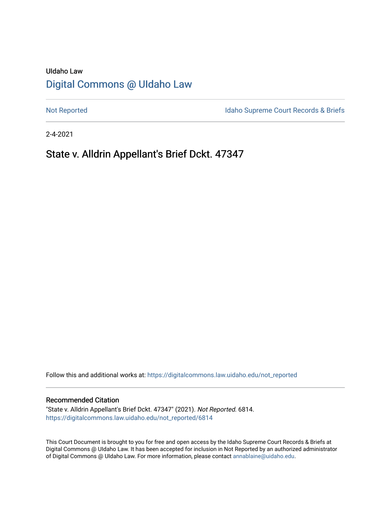# UIdaho Law [Digital Commons @ UIdaho Law](https://digitalcommons.law.uidaho.edu/)

[Not Reported](https://digitalcommons.law.uidaho.edu/not_reported) **Idaho Supreme Court Records & Briefs** 

2-4-2021

# State v. Alldrin Appellant's Brief Dckt. 47347

Follow this and additional works at: [https://digitalcommons.law.uidaho.edu/not\\_reported](https://digitalcommons.law.uidaho.edu/not_reported?utm_source=digitalcommons.law.uidaho.edu%2Fnot_reported%2F6814&utm_medium=PDF&utm_campaign=PDFCoverPages) 

#### Recommended Citation

"State v. Alldrin Appellant's Brief Dckt. 47347" (2021). Not Reported. 6814. [https://digitalcommons.law.uidaho.edu/not\\_reported/6814](https://digitalcommons.law.uidaho.edu/not_reported/6814?utm_source=digitalcommons.law.uidaho.edu%2Fnot_reported%2F6814&utm_medium=PDF&utm_campaign=PDFCoverPages)

This Court Document is brought to you for free and open access by the Idaho Supreme Court Records & Briefs at Digital Commons @ UIdaho Law. It has been accepted for inclusion in Not Reported by an authorized administrator of Digital Commons @ UIdaho Law. For more information, please contact [annablaine@uidaho.edu](mailto:annablaine@uidaho.edu).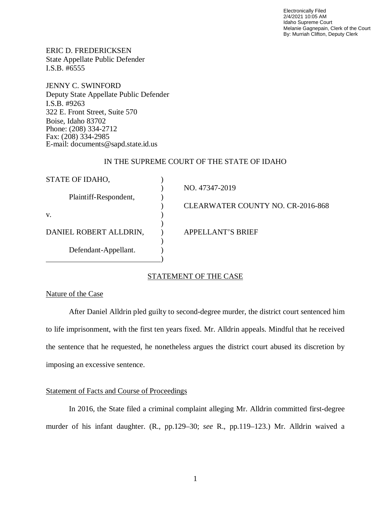Electronically Filed 2/4/2021 10:05 AM Idaho Supreme Court Melanie Gagnepain, Clerk of the Court By: Murriah Clifton, Deputy Clerk

ERIC D. FREDERICKSEN State Appellate Public Defender I.S.B. #6555

JENNY C. SWINFORD Deputy State Appellate Public Defender I.S.B. #9263 322 E. Front Street, Suite 570 Boise, Idaho 83702 Phone: (208) 334-2712 Fax: (208) 334-2985 E-mail: documents@sapd.state.id.us

# IN THE SUPREME COURT OF THE STATE OF IDAHO

| STATE OF IDAHO,        |                                          |
|------------------------|------------------------------------------|
|                        | NO. 47347-2019                           |
| Plaintiff-Respondent,  |                                          |
|                        | <b>CLEARWATER COUNTY NO. CR-2016-868</b> |
| V.                     |                                          |
|                        |                                          |
| DANIEL ROBERT ALLDRIN, | APPELLANT'S BRIEF                        |
|                        |                                          |
| Defendant-Appellant.   |                                          |
|                        |                                          |

### STATEMENT OF THE CASE

#### Nature of the Case

After Daniel Alldrin pled guilty to second-degree murder, the district court sentenced him to life imprisonment, with the first ten years fixed. Mr. Alldrin appeals. Mindful that he received the sentence that he requested, he nonetheless argues the district court abused its discretion by imposing an excessive sentence.

#### Statement of Facts and Course of Proceedings

In 2016, the State filed a criminal complaint alleging Mr. Alldrin committed first-degree murder of his infant daughter. (R., pp.129–30; *see* R., pp.119–123.) Mr. Alldrin waived a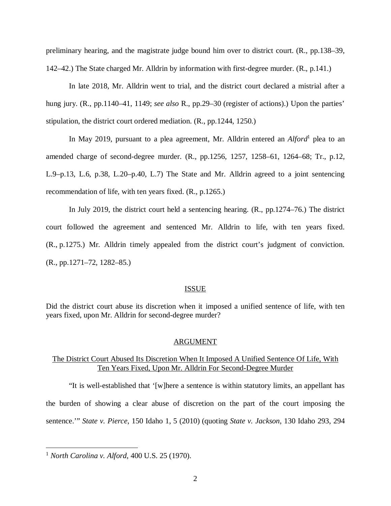preliminary hearing, and the magistrate judge bound him over to district court. (R., pp.138–39, 142–42.) The State charged Mr. Alldrin by information with first-degree murder. (R., p.141.)

In late 2018, Mr. Alldrin went to trial, and the district court declared a mistrial after a hung jury. (R., pp.1140–41, 1149; *see also* R., pp.29–30 (register of actions).) Upon the parties' stipulation, the district court ordered mediation. (R., pp.1244, 1250.)

In May 20[1](#page-2-0)9, pursuant to a plea agreement, Mr. Alldrin entered an *Alford*<sup>1</sup> plea to an amended charge of second-degree murder. (R., pp.1256, 1257, 1258–61, 1264–68; Tr., p.12, L.9–p.13, L.6, p.38, L.20–p.40, L.7) The State and Mr. Alldrin agreed to a joint sentencing recommendation of life, with ten years fixed. (R., p.1265.)

In July 2019, the district court held a sentencing hearing. (R., pp.1274–76.) The district court followed the agreement and sentenced Mr. Alldrin to life, with ten years fixed. (R., p.1275.) Mr. Alldrin timely appealed from the district court's judgment of conviction. (R., pp.1271–72, 1282–85.)

#### ISSUE

Did the district court abuse its discretion when it imposed a unified sentence of life, with ten years fixed, upon Mr. Alldrin for second-degree murder?

#### ARGUMENT

### The District Court Abused Its Discretion When It Imposed A Unified Sentence Of Life, With Ten Years Fixed, Upon Mr. Alldrin For Second-Degree Murder

"It is well-established that '[w]here a sentence is within statutory limits, an appellant has the burden of showing a clear abuse of discretion on the part of the court imposing the sentence.'" *State v. Pierce*, 150 Idaho 1, 5 (2010) (quoting *State v. Jackson*, 130 Idaho 293, 294

<span id="page-2-0"></span><sup>1</sup> *North Carolina v. Alford*, 400 U.S. 25 (1970).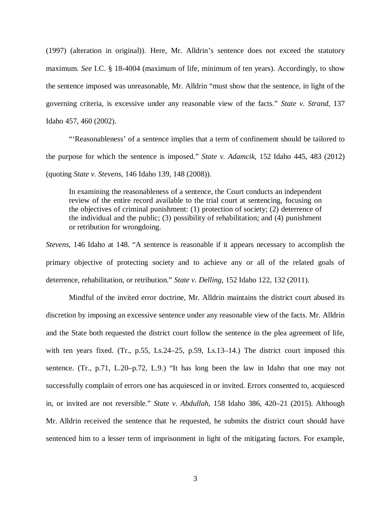(1997) (alteration in original)). Here, Mr. Alldrin's sentence does not exceed the statutory maximum. *See* I.C. § 18-4004 (maximum of life, minimum of ten years). Accordingly, to show the sentence imposed was unreasonable, Mr. Alldrin "must show that the sentence, in light of the governing criteria, is excessive under any reasonable view of the facts." *State v. Strand*, 137 Idaho 457, 460 (2002).

"'Reasonableness' of a sentence implies that a term of confinement should be tailored to the purpose for which the sentence is imposed." *State v. Adamcik*, 152 Idaho 445, 483 (2012) (quoting *State v. Stevens*, 146 Idaho 139, 148 (2008)).

In examining the reasonableness of a sentence, the Court conducts an independent review of the entire record available to the trial court at sentencing, focusing on the objectives of criminal punishment: (1) protection of society; (2) deterrence of the individual and the public; (3) possibility of rehabilitation; and (4) punishment or retribution for wrongdoing.

*Stevens*, 146 Idaho at 148. "A sentence is reasonable if it appears necessary to accomplish the primary objective of protecting society and to achieve any or all of the related goals of deterrence, rehabilitation, or retribution." *State v. Delling*, 152 Idaho 122, 132 (2011).

Mindful of the invited error doctrine, Mr. Alldrin maintains the district court abused its discretion by imposing an excessive sentence under any reasonable view of the facts. Mr. Alldrin and the State both requested the district court follow the sentence in the plea agreement of life, with ten years fixed. (Tr.,  $p.55$ , Ls.24–25, p.59, Ls.13–14.) The district court imposed this sentence. (Tr., p.71, L.20–p.72, L.9.) "It has long been the law in Idaho that one may not successfully complain of errors one has acquiesced in or invited. Errors consented to, acquiesced in, or invited are not reversible." *State v. Abdullah*, 158 Idaho 386, 420–21 (2015). Although Mr. Alldrin received the sentence that he requested, he submits the district court should have sentenced him to a lesser term of imprisonment in light of the mitigating factors. For example,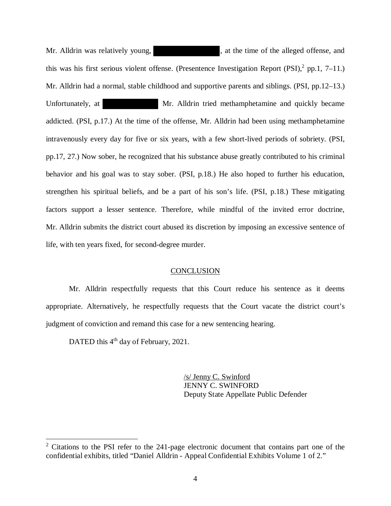Mr. Alldrin was relatively young,  $\mu$ , at the time of the alleged offense, and this was his first serious violent offense. (Presentence Investigation Report  $(PSI),^2$  $(PSI),^2$  pp.1, 7–11.) Mr. Alldrin had a normal, stable childhood and supportive parents and siblings. (PSI, pp.12–13.) Unfortunately, at Mr. Alldrin tried methamphetamine and quickly became addicted. (PSI, p.17.) At the time of the offense, Mr. Alldrin had been using methamphetamine intravenously every day for five or six years, with a few short-lived periods of sobriety. (PSI, pp.17, 27.) Now sober, he recognized that his substance abuse greatly contributed to his criminal behavior and his goal was to stay sober. (PSI, p.18.) He also hoped to further his education, strengthen his spiritual beliefs, and be a part of his son's life. (PSI, p.18.) These mitigating factors support a lesser sentence. Therefore, while mindful of the invited error doctrine, Mr. Alldrin submits the district court abused its discretion by imposing an excessive sentence of life, with ten years fixed, for second-degree murder.

# **CONCLUSION**

Mr. Alldrin respectfully requests that this Court reduce his sentence as it deems appropriate. Alternatively, he respectfully requests that the Court vacate the district court's judgment of conviction and remand this case for a new sentencing hearing.

DATED this 4<sup>th</sup> day of February, 2021.

/s/ Jenny C. Swinford JENNY C. SWINFORD Deputy State Appellate Public Defender

<span id="page-4-0"></span> $2$  Citations to the PSI refer to the 241-page electronic document that contains part one of the confidential exhibits, titled "Daniel Alldrin - Appeal Confidential Exhibits Volume 1 of 2."